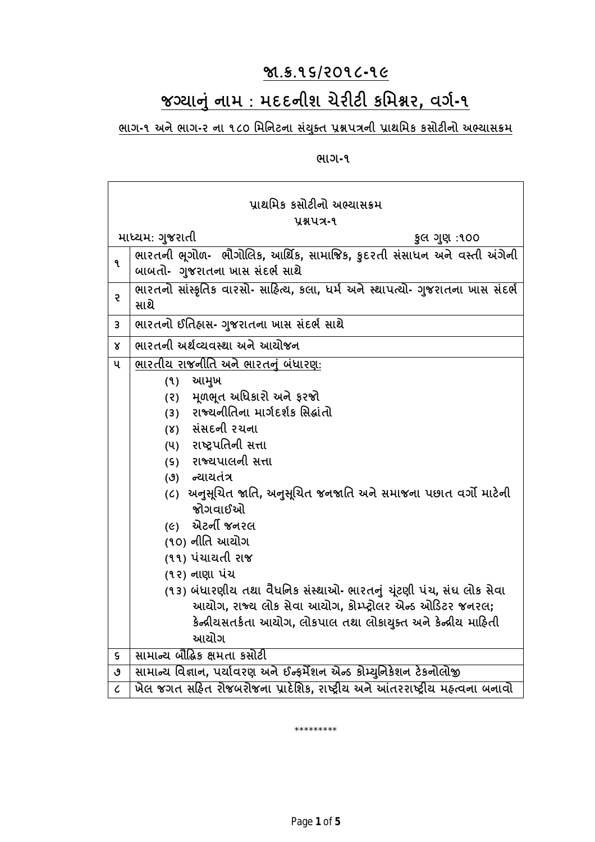## **Ĥ.˲.૧૬/૨૦૧૮-૧૯**

# **જƊયાȵું નામ : મદદનીશ ચેરટ કિમĕર, વગ½-૧**

<u>ભાગ-૧ અને ભાગ-૨ ના ૧૮૦ મિનિટના સંયુક્ત પ્રશ્નપત્રની પ્રાથમિક કસોટીનો અભ્યાસક્રમ</u>

**ભાગ-૧**

| પ્રાથમિક કસોટીનો અભ્યાસક્રમ |                                                                                |
|-----------------------------|--------------------------------------------------------------------------------|
| yaux-9                      |                                                                                |
|                             | માધ્યમ: ગુજરાતી<br>કુલ ગુણ:૧૦૦                                                 |
| ۹                           | ભારતની ભૂગોળ- ભૌગોલિક, આર્થિક, સામાજિક, કુદરતી સંસાધન અને વસ્તી અંગેની         |
|                             | બાબતો- ગુજરાતના ખાસ સંદર્ભ સાથે                                                |
| Ş                           | ભારતનો સાંસ્કૃતિક વારસો- સાહિત્ય, કલા, ધર્મ અને સ્થાપત્યો- ગુજરાતના ખાસ સંદર્ભ |
|                             | સાથે                                                                           |
| 3                           | ભારતનો ઈતિહ્રાસ- ગુજરાતના ખાસ સંદર્ભ સાથે                                      |
| $\mathsf{x}$                | ભારતની અર્થવ્યવસ્થા અને આયોજન                                                  |
| ૫                           | ભારતીય રાજનીતિ અને ભારતનું બંધારણ:                                             |
|                             | આમુખ<br>(9)                                                                    |
|                             | (૨) મૂળભૂત અધિકારો અને ફરજો                                                    |
|                             | (3) રાજ્યનીતિના માર્ગદર્શક સિદ્ધાંતો                                           |
|                             | (४) સંસદની રચના                                                                |
|                             | (૫) રાષ્ટ્રપતિની સત્તા                                                         |
|                             | (૬) રાજ્યપાલની સત્તા                                                           |
|                             | (૭) ન્યાયતંત્ર                                                                 |
|                             | (૮)  અનુસૂચિત જાતિ, અનુસૂચિત જનજાતિ અને સમાજના પછાત વર્ગો માટેની<br>જોગવાઈઓ    |
|                             | (૯) એટર્ની જનરલ                                                                |
|                             | (૧૦) નીતિ આયોગ                                                                 |
|                             | (૧૧) પંચાયતી રાજ                                                               |
|                             | (૧૨) નાણા પંચ                                                                  |
|                             | (૧૩) બંધારણીય તથા વૈધનિક સંસ્થાઓ- ભારતનું ચૂંટણી પંચ, સંઘ લોક સેવા             |
|                             | આયોગ, રાજ્ય લોક સેવા આયોગ, કોમ્પ્ટ્રોલર એન્ડ ઓડિટર જનરલ;                       |
|                             | કેન્દ્રીયસતર્કતા આયોગ, લોકપાલ તથા લોકાયુક્ત અને કેન્દ્રીય માહિતી               |
|                             | આયોગ                                                                           |
| $\mathsf{s}$                | સામાન્ય બૌદ્ધિક ક્ષમતા કસોટી                                                   |
| ტ                           | સામાન્ય વિજ્ઞાન, પર્યાવરણ અને ઈન્ફર્મેશન એન્ડ કોમ્યુનિકેશન ટેકનોલોજી           |
| $\mathcal{C}_{0}$           | ખેલ જગત સહિત રોજબરોજના પ્રાદેશિક, રાષ્ટ્રીય અને આંતરરાષ્ટ્રીય મહ્ત્વના બનાવો   |

\*\*\*\*\*\*\*\*\*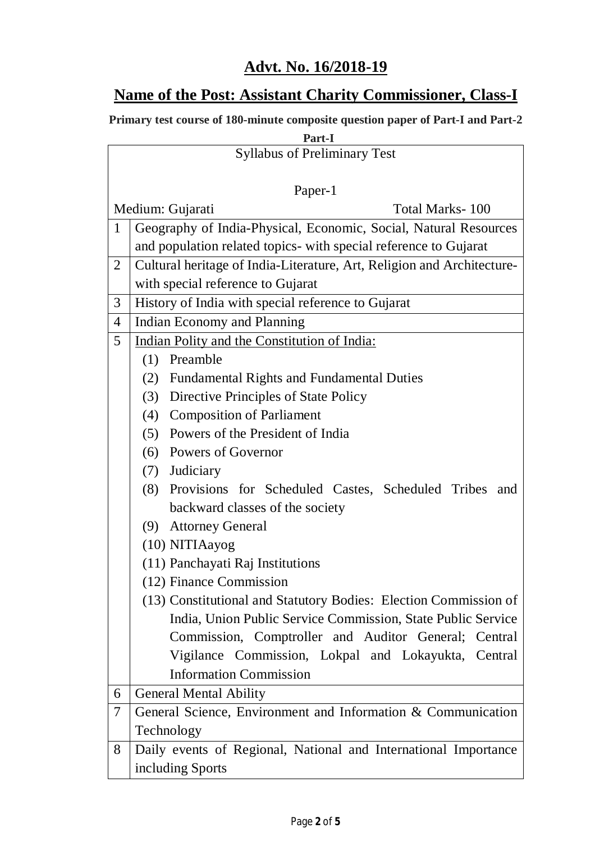### **Advt. No. 16/2018-19**

### **Name of the Post: Assistant Charity Commissioner, Class-I**

**Primary test course of 180-minute composite question paper of Part-I and Part-2**

## **Part-I** Syllabus of Preliminary Test Paper-1 Medium: Gujarati Total Marks- 100 1 Geography of India-Physical, Economic, Social, Natural Resources and population related topics- with special reference to Gujarat 2 Cultural heritage of India-Literature, Art, Religion and Architecturewith special reference to Gujarat 3 History of India with special reference to Gujarat 4 Indian Economy and Planning 5 Indian Polity and the Constitution of India: (1) Preamble (2) Fundamental Rights and Fundamental Duties (3) Directive Principles of State Policy (4) Composition of Parliament (5) Powers of the President of India (6) Powers of Governor (7) Judiciary (8) Provisions for Scheduled Castes, Scheduled Tribes and backward classes of the society (9) Attorney General (10) NITIAayog (11) Panchayati Raj Institutions (12) Finance Commission (13) Constitutional and Statutory Bodies: Election Commission of India, Union Public Service Commission, State Public Service Commission, Comptroller and Auditor General; Central Vigilance Commission, Lokpal and Lokayukta, Central Information Commission 6 General Mental Ability 7 General Science, Environment and Information & Communication

Technology 8 Daily events of Regional, National and International Importance including Sports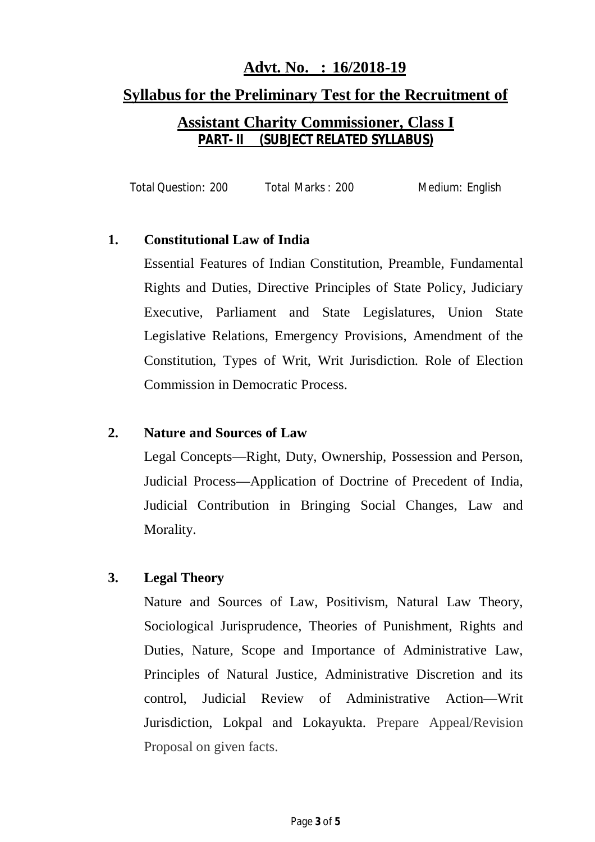# **Advt. No. : 16/2018-19 Syllabus for the Preliminary Test for the Recruitment of Assistant Charity Commissioner, Class I**

## **PART- II (SUBJECT RELATED SYLLABUS)**

Total Question: 200 Total Marks : 200 Medium: English

#### **1. Constitutional Law of India**

Essential Features of Indian Constitution, Preamble, Fundamental Rights and Duties, Directive Principles of State Policy, Judiciary Executive, Parliament and State Legislatures, Union State Legislative Relations, Emergency Provisions, Amendment of the Constitution, Types of Writ, Writ Jurisdiction. Role of Election Commission in Democratic Process.

#### **2. Nature and Sources of Law**

Legal Concepts—Right, Duty, Ownership, Possession and Person, Judicial Process—Application of Doctrine of Precedent of India, Judicial Contribution in Bringing Social Changes, Law and Morality.

#### **3. Legal Theory**

Nature and Sources of Law, Positivism, Natural Law Theory, Sociological Jurisprudence, Theories of Punishment, Rights and Duties, Nature, Scope and Importance of Administrative Law, Principles of Natural Justice, Administrative Discretion and its control, Judicial Review of Administrative Action—Writ Jurisdiction, Lokpal and Lokayukta. Prepare Appeal/Revision Proposal on given facts.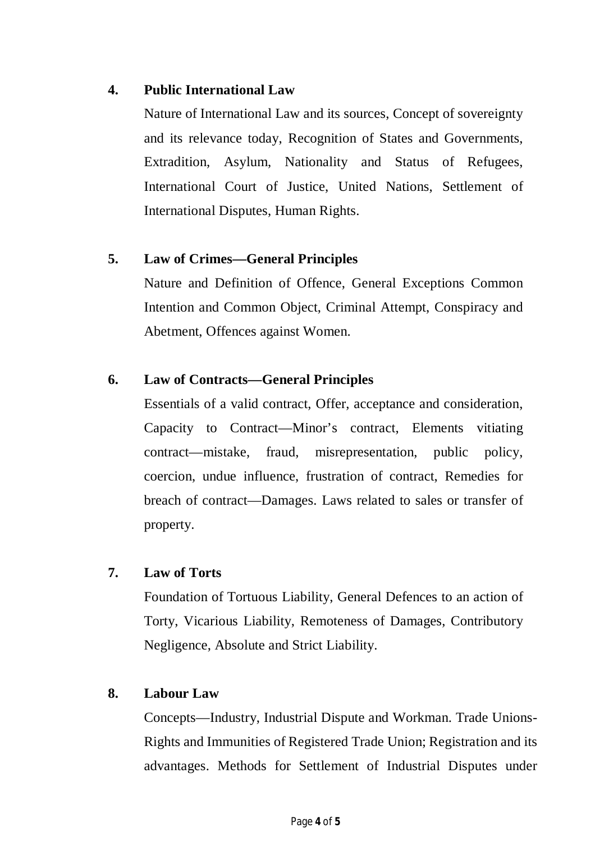#### **4. Public International Law**

Nature of International Law and its sources, Concept of sovereignty and its relevance today, Recognition of States and Governments, Extradition, Asylum, Nationality and Status of Refugees, International Court of Justice, United Nations, Settlement of International Disputes, Human Rights.

#### **5. Law of Crimes—General Principles**

Nature and Definition of Offence, General Exceptions Common Intention and Common Object, Criminal Attempt, Conspiracy and Abetment, Offences against Women.

#### **6. Law of Contracts—General Principles**

Essentials of a valid contract, Offer, acceptance and consideration, Capacity to Contract—Minor's contract, Elements vitiating contract—mistake, fraud, misrepresentation, public policy, coercion, undue influence, frustration of contract, Remedies for breach of contract—Damages. Laws related to sales or transfer of property.

#### **7. Law of Torts**

Foundation of Tortuous Liability, General Defences to an action of Torty, Vicarious Liability, Remoteness of Damages, Contributory Negligence, Absolute and Strict Liability.

#### **8. Labour Law**

Concepts—Industry, Industrial Dispute and Workman. Trade Unions-Rights and Immunities of Registered Trade Union; Registration and its advantages. Methods for Settlement of Industrial Disputes under